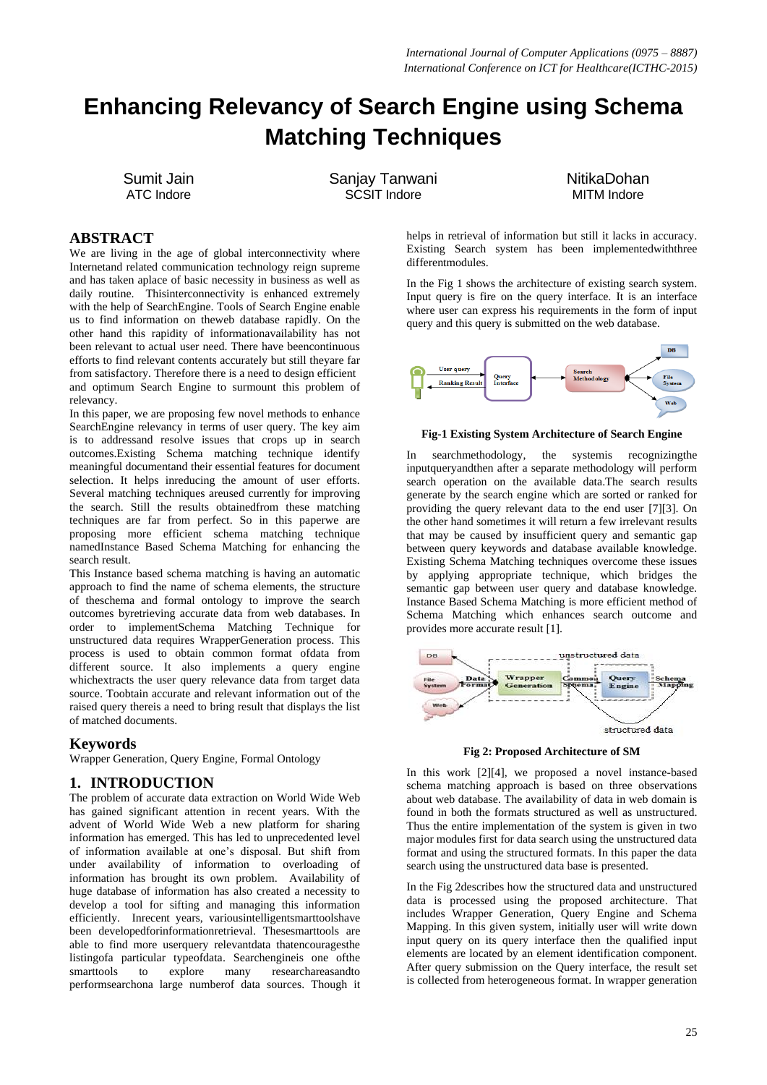# **Enhancing Relevancy of Search Engine using Schema Matching Techniques**

Sumit Jain ATC Indore

Sanjay Tanwani SCSIT Indore

NitikaDohan MITM Indore

## **ABSTRACT**

We are living in the age of global interconnectivity where Internetand related communication technology reign supreme and has taken aplace of basic necessity in business as well as daily routine. Thisinterconnectivity is enhanced extremely with the help of SearchEngine. Tools of Search Engine enable us to find information on theweb database rapidly. On the other hand this rapidity of informationavailability has not been relevant to actual user need. There have beencontinuous efforts to find relevant contents accurately but still theyare far from satisfactory. Therefore there is a need to design efficient and optimum Search Engine to surmount this problem of relevancy.

In this paper, we are proposing few novel methods to enhance SearchEngine relevancy in terms of user query. The key aim is to addressand resolve issues that crops up in search outcomes.Existing Schema matching technique identify meaningful documentand their essential features for document selection. It helps inreducing the amount of user efforts. Several matching techniques areused currently for improving the search. Still the results obtainedfrom these matching techniques are far from perfect. So in this paperwe are proposing more efficient schema matching technique namedInstance Based Schema Matching for enhancing the search result.

This Instance based schema matching is having an automatic approach to find the name of schema elements, the structure of theschema and formal ontology to improve the search outcomes byretrieving accurate data from web databases. In order to implementSchema Matching Technique for unstructured data requires WrapperGeneration process. This process is used to obtain common format ofdata from different source. It also implements a query engine whichextracts the user query relevance data from target data source. Toobtain accurate and relevant information out of the raised query thereis a need to bring result that displays the list of matched documents.

### **Keywords**

Wrapper Generation, Query Engine, Formal Ontology

## **1. INTRODUCTION**

The problem of accurate data extraction on World Wide Web has gained significant attention in recent years. With the advent of World Wide Web a new platform for sharing information has emerged. This has led to unprecedented level of information available at one"s disposal. But shift from under availability of information to overloading of information has brought its own problem. Availability of huge database of information has also created a necessity to develop a tool for sifting and managing this information efficiently. Inrecent years, variousintelligentsmarttoolshave been developedforinformationretrieval. Thesesmarttools are able to find more userquery relevantdata thatencouragesthe listingofa particular typeofdata. Searchengineis one ofthe smarttools to explore many researchareasandto performsearchona large numberof data sources. Though it

helps in retrieval of information but still it lacks in accuracy. Existing Search system has been implementedwiththree differentmodules.

In the Fig 1 shows the architecture of existing search system. Input query is fire on the query interface. It is an interface where user can express his requirements in the form of input query and this query is submitted on the web database.



#### **Fig-1 Existing System Architecture of Search Engine**

searchmethodology, the systemis recognizing the inputqueryandthen after a separate methodology will perform search operation on the available data.The search results generate by the search engine which are sorted or ranked for providing the query relevant data to the end user [7][3]. On the other hand sometimes it will return a few irrelevant results that may be caused by insufficient query and semantic gap between query keywords and database available knowledge. Existing Schema Matching techniques overcome these issues by applying appropriate technique, which bridges the semantic gap between user query and database knowledge. Instance Based Schema Matching is more efficient method of Schema Matching which enhances search outcome and provides more accurate result [1].



**Fig 2: Proposed Architecture of SM**

In this work [2][4], we proposed a novel instance-based schema matching approach is based on three observations about web database. The availability of data in web domain is found in both the formats structured as well as unstructured. Thus the entire implementation of the system is given in two major modules first for data search using the unstructured data format and using the structured formats. In this paper the data search using the unstructured data base is presented.

In the Fig 2describes how the structured data and unstructured data is processed using the proposed architecture. That includes Wrapper Generation, Query Engine and Schema Mapping. In this given system, initially user will write down input query on its query interface then the qualified input elements are located by an element identification component. After query submission on the Query interface, the result set is collected from heterogeneous format. In wrapper generation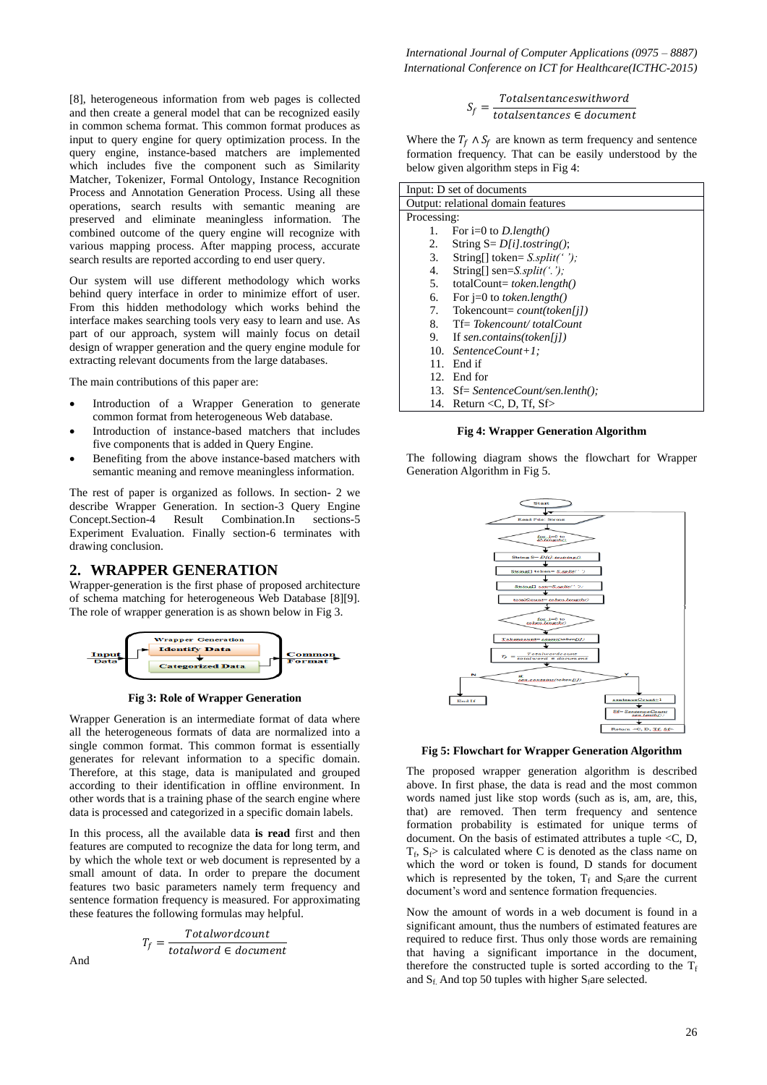[8], heterogeneous information from web pages is collected and then create a general model that can be recognized easily in common schema format. This common format produces as input to query engine for query optimization process. In the query engine, instance-based matchers are implemented which includes five the component such as Similarity Matcher, Tokenizer, Formal Ontology, Instance Recognition Process and Annotation Generation Process. Using all these operations, search results with semantic meaning are preserved and eliminate meaningless information. The combined outcome of the query engine will recognize with various mapping process. After mapping process, accurate search results are reported according to end user query.

Our system will use different methodology which works behind query interface in order to minimize effort of user. From this hidden methodology which works behind the interface makes searching tools very easy to learn and use. As part of our approach, system will mainly focus on detail design of wrapper generation and the query engine module for extracting relevant documents from the large databases.

The main contributions of this paper are:

- Introduction of a Wrapper Generation to generate common format from heterogeneous Web database.
- Introduction of instance-based matchers that includes five components that is added in Query Engine.
- Benefiting from the above instance-based matchers with semantic meaning and remove meaningless information.

The rest of paper is organized as follows. In section- 2 we describe Wrapper Generation. In section-3 Query Engine Concept.Section-4 Result Combination.In sections-5 Experiment Evaluation. Finally section-6 terminates with drawing conclusion.

### **2. WRAPPER GENERATION**

Wrapper-generation is the first phase of proposed architecture of schema matching for heterogeneous Web Database [8][9]. The role of wrapper generation is as shown below in Fig 3.





Wrapper Generation is an intermediate format of data where all the heterogeneous formats of data are normalized into a single common format. This common format is essentially generates for relevant information to a specific domain. Therefore, at this stage, data is manipulated and grouped according to their identification in offline environment. In other words that is a training phase of the search engine where data is processed and categorized in a specific domain labels.

In this process, all the available data **is read** first and then features are computed to recognize the data for long term, and by which the whole text or web document is represented by a small amount of data. In order to prepare the document features two basic parameters namely term frequency and sentence formation frequency is measured. For approximating these features the following formulas may helpful.

$$
T_f = \frac{Totalwordcount}{totalword \in document}
$$

And

$$
S_f = \frac{Totalsentances with word}{totalsentances \in document}
$$

Where the  $T_f \wedge S_f$  are known as term frequency and sentence formation frequency. That can be easily understood by the below given algorithm steps in Fig 4:

| Input: D set of documents          |                                            |  |
|------------------------------------|--------------------------------------------|--|
| Output: relational domain features |                                            |  |
| Processing:                        |                                            |  |
| 1.                                 | For $i=0$ to <i>D.length()</i>             |  |
| 2.                                 | String $S = D[i].$ tostring();             |  |
| 3.                                 | String[] token= $S.split('')$ ;            |  |
| 4.                                 | String $\lceil$ sen= <i>S.split('.')</i> ; |  |
| 5.                                 | $totalCount = token.length()$              |  |
| 6.                                 | For $j=0$ to <i>token.length()</i>         |  |
| 7.                                 | Tokencount= $count(token[i])$              |  |
| 8.                                 | $Tf = Tokencount/totalCount$               |  |
| 9.                                 | If sen.contains(token[j])                  |  |
|                                    | 10. SentenceCount+1:                       |  |
| 11.                                | End if                                     |  |
| 12.                                | End for                                    |  |
|                                    | 13. Sf= SentenceCount/sen.lenth();         |  |
|                                    | 14. Return < C, D, Tf, $Sf$                |  |

#### **Fig 4: Wrapper Generation Algorithm**

The following diagram shows the flowchart for Wrapper Generation Algorithm in Fig 5.



**Fig 5: Flowchart for Wrapper Generation Algorithm**

The proposed wrapper generation algorithm is described above. In first phase, the data is read and the most common words named just like stop words (such as is, am, are, this, that) are removed. Then term frequency and sentence formation probability is estimated for unique terms of document. On the basis of estimated attributes a tuple <C, D,  $T_f$ ,  $S_f$  is calculated where C is denoted as the class name on which the word or token is found, D stands for document which is represented by the token,  $T_f$  and  $S_f$ are the current document's word and sentence formation frequencies.

Now the amount of words in a web document is found in a significant amount, thus the numbers of estimated features are required to reduce first. Thus only those words are remaining that having a significant importance in the document, therefore the constructed tuple is sorted according to the  $T_f$ and  $S_f$ . And top 50 tuples with higher  $S_f$ are selected.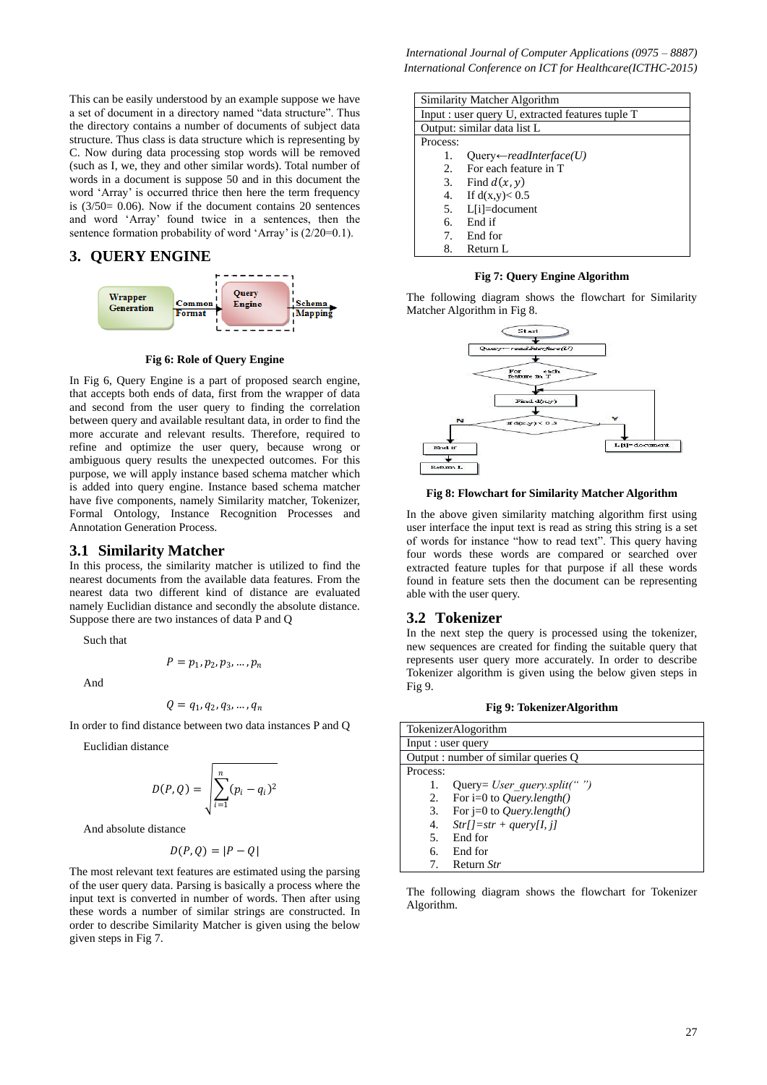This can be easily understood by an example suppose we have a set of document in a directory named "data structure". Thus the directory contains a number of documents of subject data structure. Thus class is data structure which is representing by C. Now during data processing stop words will be removed (such as I, we, they and other similar words). Total number of words in a document is suppose 50 and in this document the word 'Array' is occurred thrice then here the term frequency is  $(3/50=0.06)$ . Now if the document contains 20 sentences and word "Array" found twice in a sentences, then the sentence formation probability of word 'Array' is  $(2/20=0.1)$ .

#### **3. QUERY ENGINE**



**Fig 6: Role of Query Engine** 

In Fig 6, Query Engine is a part of proposed search engine, that accepts both ends of data, first from the wrapper of data and second from the user query to finding the correlation between query and available resultant data, in order to find the more accurate and relevant results. Therefore, required to refine and optimize the user query, because wrong or ambiguous query results the unexpected outcomes. For this purpose, we will apply instance based schema matcher which is added into query engine. Instance based schema matcher have five components, namely Similarity matcher, Tokenizer, Formal Ontology, Instance Recognition Processes and Annotation Generation Process.

#### **3.1 Similarity Matcher**

In this process, the similarity matcher is utilized to find the nearest documents from the available data features. From the nearest data two different kind of distance are evaluated namely Euclidian distance and secondly the absolute distance. Suppose there are two instances of data P and Q

Such that

$$
P=p_1,p_2,p_3,\ldots,p_n
$$

And

$$
Q=q_1,q_2,q_3,\ldots,q_n
$$

In order to find distance between two data instances P and Q

Euclidian distance

$$
D(P,Q) = \sqrt{\sum_{i=1}^{n} (p_i - q_i)^2}
$$

And absolute distance

$$
D(P,Q) = |P - Q|
$$

The most relevant text features are estimated using the parsing of the user query data. Parsing is basically a process where the input text is converted in number of words. Then after using these words a number of similar strings are constructed. In order to describe Similarity Matcher is given using the below given steps in Fig 7.

*International Journal of Computer Applications (0975 – 8887) International Conference on ICT for Healthcare(ICTHC-2015)*

| Similarity Matcher Algorithm                     |                                     |  |
|--------------------------------------------------|-------------------------------------|--|
| Input : user query U, extracted features tuple T |                                     |  |
| Output: similar data list L                      |                                     |  |
| Process:                                         |                                     |  |
| 1.                                               | $Queue \leftarrow readInterface(U)$ |  |
| 2.                                               | For each feature in T               |  |
|                                                  | 3. Find $d(x, y)$                   |  |
| 4.                                               | If $d(x,y) < 0.5$                   |  |
|                                                  | 5. L[i]=document                    |  |
| б.                                               | End if                              |  |
| 7 <sub>1</sub>                                   | End for                             |  |
| 8.                                               | Return L                            |  |

**Fig 7: Query Engine Algorithm**

The following diagram shows the flowchart for Similarity Matcher Algorithm in Fig 8.



#### **Fig 8: Flowchart for Similarity Matcher Algorithm**

In the above given similarity matching algorithm first using user interface the input text is read as string this string is a set of words for instance "how to read text". This query having four words these words are compared or searched over extracted feature tuples for that purpose if all these words found in feature sets then the document can be representing able with the user query.

#### **3.2 Tokenizer**

In the next step the query is processed using the tokenizer, new sequences are created for finding the suitable query that represents user query more accurately. In order to describe Tokenizer algorithm is given using the below given steps in Fig 9.

|  | Fig 9: TokenizerAlgorithm |  |
|--|---------------------------|--|
|--|---------------------------|--|

| <b>TokenizerAlogorithm</b>           |                                    |  |
|--------------------------------------|------------------------------------|--|
| Input : user query                   |                                    |  |
| Output : number of similar queries O |                                    |  |
| Process:                             |                                    |  |
| 1.                                   | Query= <i>User query.split("")</i> |  |
| 2.                                   | For $i=0$ to <i>Query.length()</i> |  |
| 3.                                   | For $j=0$ to Query.length()        |  |
| 4.                                   | $Str[J=str + query[I, j]$          |  |
| .5                                   | End for                            |  |
| б.                                   | End for                            |  |
|                                      | Return Str                         |  |

The following diagram shows the flowchart for Tokenizer Algorithm.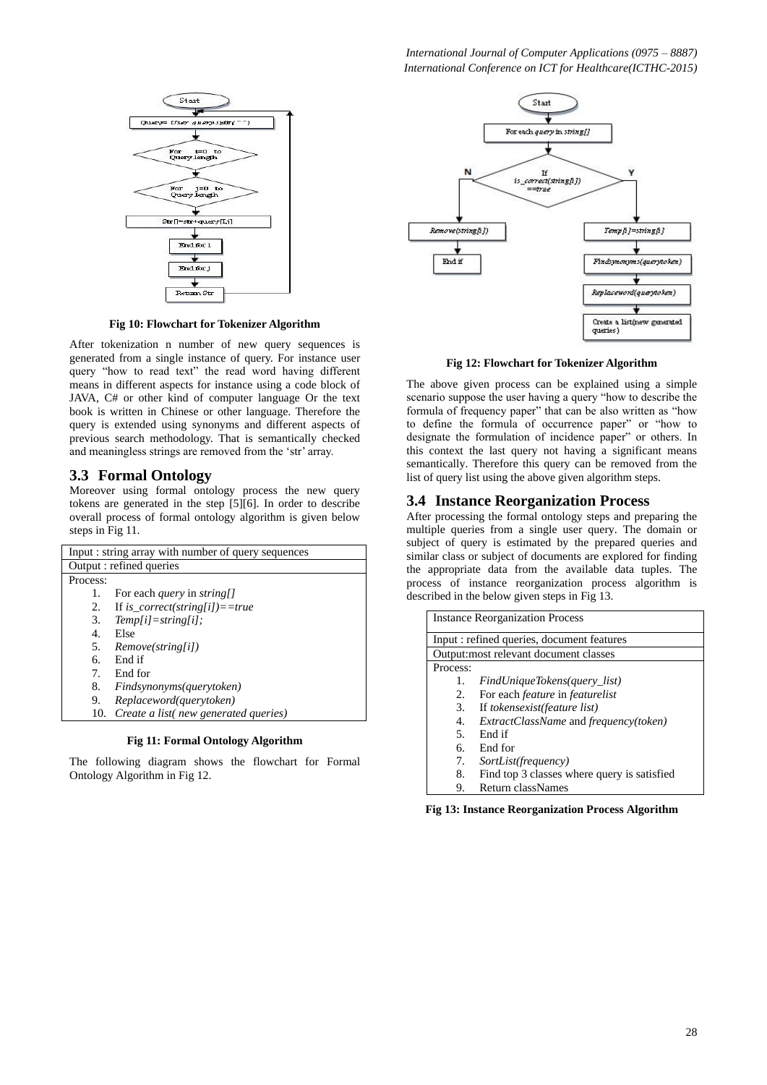

**Fig 10: Flowchart for Tokenizer Algorithm**

After tokenization n number of new query sequences is generated from a single instance of query. For instance user query "how to read text" the read word having different means in different aspects for instance using a code block of JAVA, C# or other kind of computer language Or the text book is written in Chinese or other language. Therefore the query is extended using synonyms and different aspects of previous search methodology. That is semantically checked and meaningless strings are removed from the 'str' array.

# **3.3 Formal Ontology**

Moreover using formal ontology process the new query tokens are generated in the step [5][6]. In order to describe overall process of formal ontology algorithm is given below steps in Fig 11.

| Input : string array with number of query sequences |                                           |  |
|-----------------------------------------------------|-------------------------------------------|--|
| Output : refined queries                            |                                           |  |
| Process:                                            |                                           |  |
| 1.                                                  | For each <i>query</i> in <i>string</i> [] |  |
| 2.                                                  | If is_correct(string[i])==true            |  |
| 3.                                                  | $Temp[i]=string[i];$                      |  |
| 4.                                                  | Else                                      |  |
| 5.                                                  | Remove(string[i])                         |  |
| б.                                                  | End if                                    |  |
| $7_{\scriptscriptstyle{\circ}}$                     | End for                                   |  |
| 8.                                                  | Findsynonyms(querytoken)                  |  |
| 9.                                                  | Replaceword(querytoken)                   |  |
| 10.                                                 | Create a list (new generated queries)     |  |

### **Fig 11: Formal Ontology Algorithm**

The following diagram shows the flowchart for Formal Ontology Algorithm in Fig 12.



#### **Fig 12: Flowchart for Tokenizer Algorithm**

The above given process can be explained using a simple scenario suppose the user having a query "how to describe the formula of frequency paper" that can be also written as "how to define the formula of occurrence paper" or "how to designate the formulation of incidence paper" or others. In this context the last query not having a significant means semantically. Therefore this query can be removed from the list of query list using the above given algorithm steps.

## **3.4 Instance Reorganization Process**

After processing the formal ontology steps and preparing the multiple queries from a single user query. The domain or subject of query is estimated by the prepared queries and similar class or subject of documents are explored for finding the appropriate data from the available data tuples. The process of instance reorganization process algorithm is described in the below given steps in Fig 13.

| <b>Instance Reorganization Process</b>     |                                                     |  |
|--------------------------------------------|-----------------------------------------------------|--|
| Input : refined queries, document features |                                                     |  |
| Output: most relevant document classes     |                                                     |  |
| Process:                                   |                                                     |  |
| 1.                                         | FindUniqueTokens(query_list)                        |  |
| 2.                                         | For each <i>feature</i> in <i>featurelist</i>       |  |
| 3.                                         | If tokensexist(feature list)                        |  |
| 4.                                         | <i>ExtractClassName</i> and <i>frequency(token)</i> |  |
| .5                                         | End if                                              |  |
| б.                                         | End for                                             |  |
| 7.                                         | SortList(frequency)                                 |  |
| 8.                                         | Find top 3 classes where query is satisfied         |  |
| 9.                                         | Return classNames                                   |  |

**Fig 13: Instance Reorganization Process Algorithm**